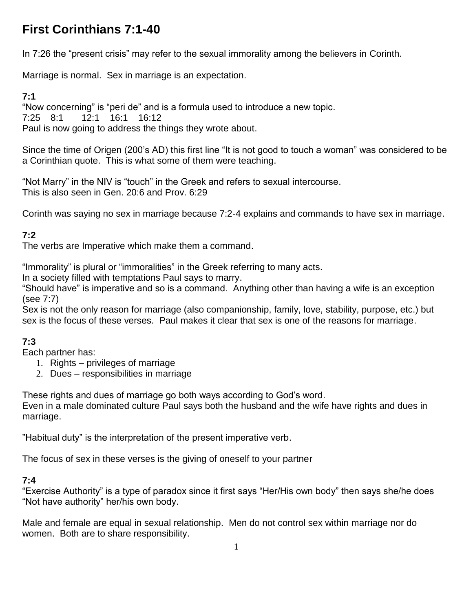# **First Corinthians 7:1-40**

In 7:26 the "present crisis" may refer to the sexual immorality among the believers in Corinth.

Marriage is normal. Sex in marriage is an expectation.

### **7:1**

"Now concerning" is "peri de" and is a formula used to introduce a new topic. 7:25 8:1 12:1 16:1 16:12 Paul is now going to address the things they wrote about.

Since the time of Origen (200's AD) this first line "It is not good to touch a woman" was considered to be a Corinthian quote. This is what some of them were teaching.

"Not Marry" in the NIV is "touch" in the Greek and refers to sexual intercourse. This is also seen in Gen. 20:6 and Prov. 6:29

Corinth was saying no sex in marriage because 7:2-4 explains and commands to have sex in marriage.

## **7:2**

The verbs are Imperative which make them a command.

"Immorality" is plural or "immoralities" in the Greek referring to many acts.

In a society filled with temptations Paul says to marry.

"Should have" is imperative and so is a command. Anything other than having a wife is an exception (see 7:7)

Sex is not the only reason for marriage (also companionship, family, love, stability, purpose, etc.) but sex is the focus of these verses. Paul makes it clear that sex is one of the reasons for marriage.

## **7:3**

Each partner has:

- 1. Rights privileges of marriage
- 2. Dues responsibilities in marriage

These rights and dues of marriage go both ways according to God's word.

Even in a male dominated culture Paul says both the husband and the wife have rights and dues in marriage.

"Habitual duty" is the interpretation of the present imperative verb.

The focus of sex in these verses is the giving of oneself to your partner

#### **7:4**

"Exercise Authority" is a type of paradox since it first says "Her/His own body" then says she/he does "Not have authority" her/his own body.

Male and female are equal in sexual relationship. Men do not control sex within marriage nor do women. Both are to share responsibility.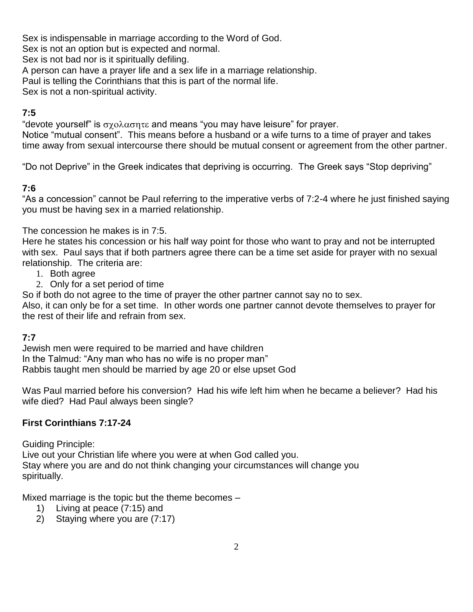Sex is indispensable in marriage according to the Word of God.

Sex is not an option but is expected and normal.

Sex is not bad nor is it spiritually defiling.

A person can have a prayer life and a sex life in a marriage relationship.

Paul is telling the Corinthians that this is part of the normal life.

Sex is not a non-spiritual activity.

#### **7:5**

"devote yourself" is  $\sigma \chi_0 \lambda \alpha \sigma \eta \tau \epsilon$  and means "you may have leisure" for prayer. Notice "mutual consent". This means before a husband or a wife turns to a time of prayer and takes time away from sexual intercourse there should be mutual consent or agreement from the other partner.

"Do not Deprive" in the Greek indicates that depriving is occurring. The Greek says "Stop depriving"

#### **7:6**

"As a concession" cannot be Paul referring to the imperative verbs of 7:2-4 where he just finished saying you must be having sex in a married relationship.

The concession he makes is in 7:5.

Here he states his concession or his half way point for those who want to pray and not be interrupted with sex. Paul says that if both partners agree there can be a time set aside for prayer with no sexual relationship. The criteria are:

- 1. Both agree
- 2. Only for a set period of time

So if both do not agree to the time of prayer the other partner cannot say no to sex.

Also, it can only be for a set time. In other words one partner cannot devote themselves to prayer for the rest of their life and refrain from sex.

## **7:7**

Jewish men were required to be married and have children In the Talmud: "Any man who has no wife is no proper man" Rabbis taught men should be married by age 20 or else upset God

Was Paul married before his conversion? Had his wife left him when he became a believer? Had his wife died? Had Paul always been single?

#### **First Corinthians 7:17-24**

Guiding Principle:

Live out your Christian life where you were at when God called you. Stay where you are and do not think changing your circumstances will change you spiritually.

Mixed marriage is the topic but the theme becomes –

- 1) Living at peace (7:15) and
- 2) Staying where you are (7:17)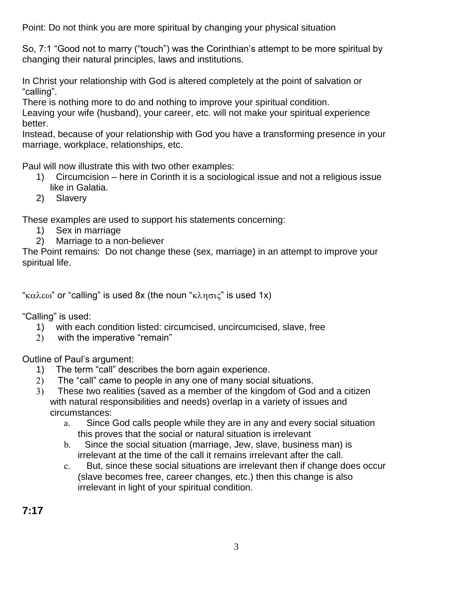Point: Do not think you are more spiritual by changing your physical situation

So, 7:1 "Good not to marry ("touch") was the Corinthian's attempt to be more spiritual by changing their natural principles, laws and institutions.

In Christ your relationship with God is altered completely at the point of salvation or "calling".

There is nothing more to do and nothing to improve your spiritual condition.

Leaving your wife (husband), your career, etc. will not make your spiritual experience better.

Instead, because of your relationship with God you have a transforming presence in your marriage, workplace, relationships, etc.

Paul will now illustrate this with two other examples:

- 1) Circumcision here in Corinth it is a sociological issue and not a religious issue like in Galatia.
- 2) Slavery

These examples are used to support his statements concerning:

- 1) Sex in marriage
- 2) Marriage to a non-believer

The Point remains: Do not change these (sex, marriage) in an attempt to improve your spiritual life.

"καλεω" or "calling" is used 8x (the noun "κλησις" is used 1x)

"Calling" is used:

- 1) with each condition listed: circumcised, uncircumcised, slave, free
- 2) with the imperative "remain"

Outline of Paul's argument:

- 1) The term "call" describes the born again experience.
- 2) The "call" came to people in any one of many social situations.
- 3) These two realities (saved as a member of the kingdom of God and a citizen with natural responsibilities and needs) overlap in a variety of issues and circumstances:
	- a. Since God calls people while they are in any and every social situation this proves that the social or natural situation is irrelevant
	- b. Since the social situation (marriage, Jew, slave, business man) is irrelevant at the time of the call it remains irrelevant after the call.
	- c. But, since these social situations are irrelevant then if change does occur (slave becomes free, career changes, etc.) then this change is also irrelevant in light of your spiritual condition.

**7:17**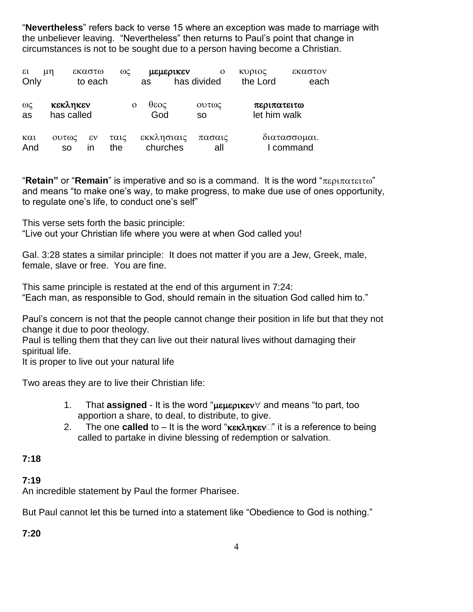"**Nevertheless**" refers back to verse 15 where an exception was made to marriage with the unbeliever leaving. "Nevertheless" then returns to Paul's point that change in circumstances is not to be sought due to a person having become a Christian.

| $\epsilon$<br>Only           | μn                     | εκαστω<br>to each  | $\omega$                | μεμερικεν<br>as        | has divided | $\Omega$           | κυριος<br>the Lord          | εκαστον<br>each           |
|------------------------------|------------------------|--------------------|-------------------------|------------------------|-------------|--------------------|-----------------------------|---------------------------|
| $ω$ ς<br>as                  | κεκληκεν<br>has called |                    | θεος<br>$\Omega$<br>God |                        |             | Ουτως<br><b>SO</b> | περιπατειτω<br>let him walk |                           |
| $\kappa \alpha \iota$<br>And | Ουτως<br><b>SO</b>     | $\epsilon v$<br>ın | ταις<br>the             | εκκλησιαις<br>churches |             | πασαις<br>all      |                             | διατασσομαι.<br>I command |

"**Retain**" or "**Remain**" is imperative and so is a command. It is the word " $\pi \epsilon \rho_1 \pi \alpha \tau \epsilon \tau \omega$ " and means "to make one's way, to make progress, to make due use of ones opportunity, to regulate one's life, to conduct one's self"

This verse sets forth the basic principle:

"Live out your Christian life where you were at when God called you!

Gal. 3:28 states a similar principle: It does not matter if you are a Jew, Greek, male, female, slave or free. You are fine.

This same principle is restated at the end of this argument in 7:24: "Each man, as responsible to God, should remain in the situation God called him to."

Paul's concern is not that the people cannot change their position in life but that they not change it due to poor theology.

Paul is telling them that they can live out their natural lives without damaging their spiritual life.

It is proper to live out your natural life

Two areas they are to live their Christian life:

- 1. That **assigned** It is the word " $\mu$  $\mu$  $\mu$  $\alpha$  we ard means "to part, too apportion a share, to deal, to distribute, to give.
- 2. The one **called** to  $-$  It is the word " $\kappa \in \mathbb{R}$  it is a reference to being called to partake in divine blessing of redemption or salvation.

#### **7:18**

#### **7:19**

An incredible statement by Paul the former Pharisee.

But Paul cannot let this be turned into a statement like "Obedience to God is nothing."

**7:20**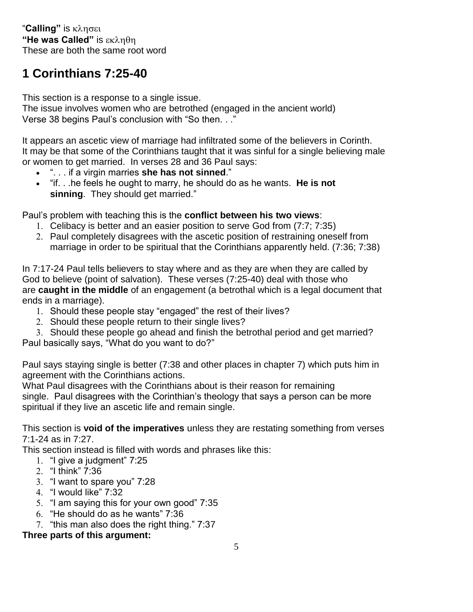"**Calling"** is **"He was Called"** is These are both the same root word

# **1 Corinthians 7:25-40**

This section is a response to a single issue.

The issue involves women who are betrothed (engaged in the ancient world) Verse 38 begins Paul's conclusion with "So then. . ."

It appears an ascetic view of marriage had infiltrated some of the believers in Corinth. It may be that some of the Corinthians taught that it was sinful for a single believing male or women to get married. In verses 28 and 36 Paul says:

- ". . . if a virgin marries **she has not sinned**."
- "if. . .he feels he ought to marry, he should do as he wants. **He is not sinning**. They should get married."

Paul's problem with teaching this is the **conflict between his two views**:

- 1. Celibacy is better and an easier position to serve God from (7:7; 7:35)
- 2. Paul completely disagrees with the ascetic position of restraining oneself from marriage in order to be spiritual that the Corinthians apparently held. (7:36; 7:38)

In 7:17-24 Paul tells believers to stay where and as they are when they are called by God to believe (point of salvation). These verses (7:25-40) deal with those who are **caught in the middle** of an engagement (a betrothal which is a legal document that ends in a marriage).

- 1. Should these people stay "engaged" the rest of their lives?
- 2. Should these people return to their single lives?
- 3. Should these people go ahead and finish the betrothal period and get married?

Paul basically says, "What do you want to do?"

Paul says staying single is better (7:38 and other places in chapter 7) which puts him in agreement with the Corinthians actions.

What Paul disagrees with the Corinthians about is their reason for remaining single. Paul disagrees with the Corinthian's theology that says a person can be more spiritual if they live an ascetic life and remain single.

This section is **void of the imperatives** unless they are restating something from verses 7:1-24 as in 7:27.

This section instead is filled with words and phrases like this:

- 1. "I give a judgment" 7:25
- 2. "I think" 7:36
- 3. "I want to spare you" 7:28
- 4. "I would like" 7:32
- 5. "I am saying this for your own good" 7:35
- 6. "He should do as he wants" 7:36
- 7. "this man also does the right thing." 7:37

## **Three parts of this argument:**